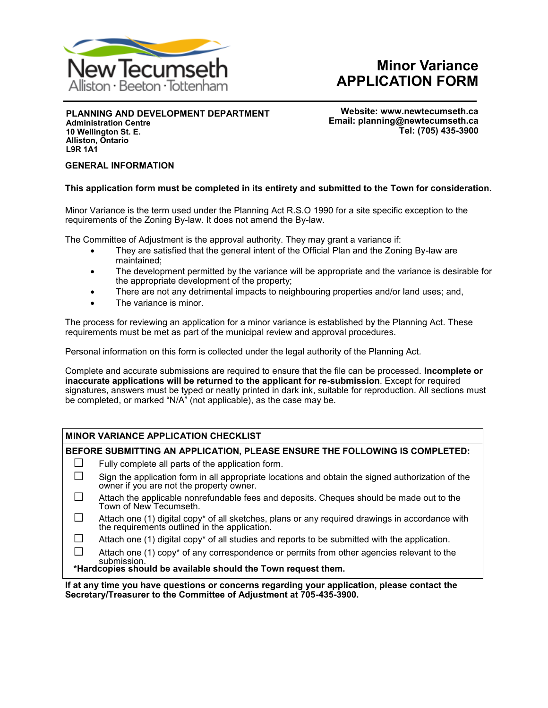

# **Minor Variance APPLICATION FORM**

**PLANNING AND DEVELOPMENT DEPARTMENT**

**Administration Centre 10 Wellington St. E. Alliston, Ontario L9R 1A1**

**Website: www.newtecumseth.ca Email: planning@newtecumseth.ca Tel: (705) 435-3900** 

#### **GENERAL INFORMATION**

#### **This application form must be completed in its entirety and submitted to the Town for consideration.**

Minor Variance is the term used under the Planning Act R.S.O 1990 for a site specific exception to the requirements of the Zoning By-law. It does not amend the By-law.

The Committee of Adjustment is the approval authority. They may grant a variance if:

- They are satisfied that the general intent of the Official Plan and the Zoning By-law are maintained;
- The development permitted by the variance will be appropriate and the variance is desirable for the appropriate development of the property;
- There are not any detrimental impacts to neighbouring properties and/or land uses; and,
- The variance is minor.

The process for reviewing an application for a minor variance is established by the Planning Act*.* These requirements must be met as part of the municipal review and approval procedures.

Personal information on this form is collected under the legal authority of the Planning Act*.*

Complete and accurate submissions are required to ensure that the file can be processed. **Incomplete or inaccurate applications will be returned to the applicant for re-submission**. Except for required signatures, answers must be typed or neatly printed in dark ink, suitable for reproduction. All sections must be completed, or marked "N/A" (not applicable), as the case may be.

#### **MINOR VARIANCE APPLICATION CHECKLIST**

**BEFORE SUBMITTING AN APPLICATION, PLEASE ENSURE THE FOLLOWING IS COMPLETED:**

- $\Box$  Fully complete all parts of the application form.
- $\square$  Sign the application form in all appropriate locations and obtain the signed authorization of the owner if you are not the property owner.
- $\Box$  Attach the applicable nonrefundable fees and deposits. Cheques should be made out to the Town of New Tecumseth.
- □ Attach one (1) digital copy\* of all sketches, plans or any required drawings in accordance with the requirements outlined in the application.
- $\Box$  Attach one (1) digital copy<sup>\*</sup> of all studies and reports to be submitted with the application.
- $\square$  Attach one (1) copy<sup>\*</sup> of any correspondence or permits from other agencies relevant to the submission.

**\*Hardcopies should be available should the Town request them.**

**If at any time you have questions or concerns regarding your application, please contact the Secretary/Treasurer to the Committee of Adjustment at 705-435-3900.**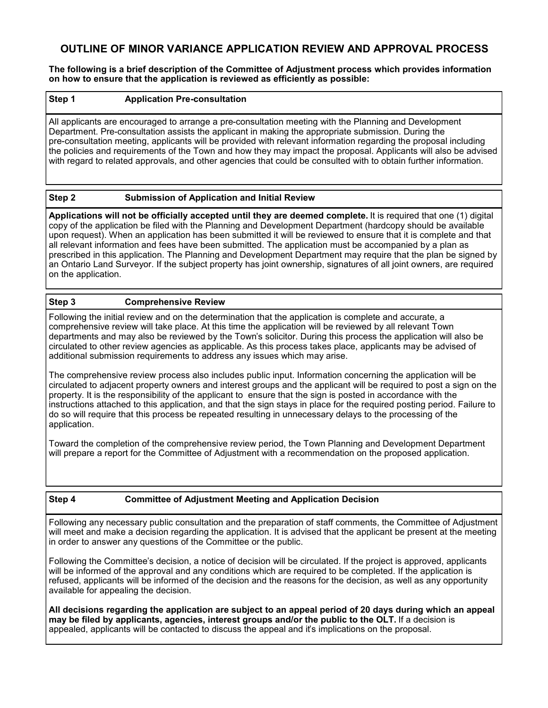## **OUTLINE OF MINOR VARIANCE APPLICATION REVIEW AND APPROVAL PROCESS**

**The following is a brief description of the Committee of Adjustment process which provides information on how to ensure that the application is reviewed as efficiently as possible:**

#### **Step 1 Application Pre-consultation**

All applicants are encouraged to arrange a pre-consultation meeting with the Planning and Development Department. Pre-consultation assists the applicant in making the appropriate submission. During the pre-consultation meeting, applicants will be provided with relevant information regarding the proposal including the policies and requirements of the Town and how they may impact the proposal. Applicants will also be advised with regard to related approvals, and other agencies that could be consulted with to obtain further information.

#### **Step 2 Submission of Application and Initial Review**

**Applications will not be officially accepted until they are deemed complete.** It is required that one (1) digital copy of the application be filed with the Planning and Development Department (hardcopy should be available upon request). When an application has been submitted it will be reviewed to ensure that it is complete and that all relevant information and fees have been submitted. The application must be accompanied by a plan as prescribed in this application. The Planning and Development Department may require that the plan be signed by an Ontario Land Surveyor. If the subject property has joint ownership, signatures of all joint owners, are required on the application.

#### **Step 3 Comprehensive Review**

Following the initial review and on the determination that the application is complete and accurate, a comprehensive review will take place. At this time the application will be reviewed by all relevant Town departments and may also be reviewed by the Town's solicitor. During this process the application will also be circulated to other review agencies as applicable. As this process takes place, applicants may be advised of additional submission requirements to address any issues which may arise.

The comprehensive review process also includes public input. Information concerning the application will be circulated to adjacent property owners and interest groups and the applicant will be required to post a sign on the property. It is the responsibility of the applicant to ensure that the sign is posted in accordance with the instructions attached to this application, and that the sign stays in place for the required posting period. Failure to do so will require that this process be repeated resulting in unnecessary delays to the processing of the application.

Toward the completion of the comprehensive review period, the Town Planning and Development Department will prepare a report for the Committee of Adjustment with a recommendation on the proposed application.

#### **Step 4 Committee of Adjustment Meeting and Application Decision**

Following any necessary public consultation and the preparation of staff comments, the Committee of Adjustment will meet and make a decision regarding the application. It is advised that the applicant be present at the meeting in order to answer any questions of the Committee or the public.

Following the Committee's decision, a notice of decision will be circulated. If the project is approved, applicants will be informed of the approval and any conditions which are required to be completed. If the application is refused, applicants will be informed of the decision and the reasons for the decision, as well as any opportunity available for appealing the decision.

**All decisions regarding the application are subject to an appeal period of 20 days during which an appeal may be filed by applicants, agencies, interest groups and/or the public to the OLT.** If a decision is appealed, applicants will be contacted to discuss the appeal and it's implications on the proposal.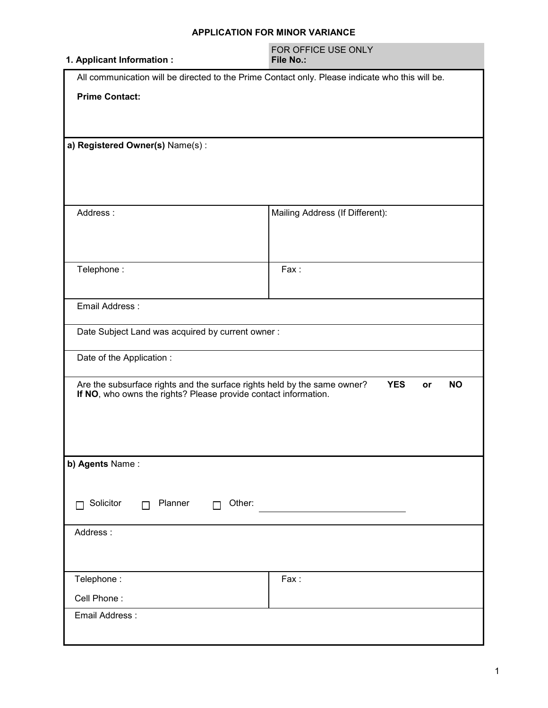#### **APPLICATION FOR MINOR VARIANCE**

| 1. Applicant Information :                                               | FOR OFFICE USE ONLY<br><b>File No.:</b>                                                         |  |  |  |  |
|--------------------------------------------------------------------------|-------------------------------------------------------------------------------------------------|--|--|--|--|
|                                                                          | All communication will be directed to the Prime Contact only. Please indicate who this will be. |  |  |  |  |
| <b>Prime Contact:</b>                                                    |                                                                                                 |  |  |  |  |
|                                                                          |                                                                                                 |  |  |  |  |
|                                                                          |                                                                                                 |  |  |  |  |
| a) Registered Owner(s) Name(s):                                          |                                                                                                 |  |  |  |  |
|                                                                          |                                                                                                 |  |  |  |  |
|                                                                          |                                                                                                 |  |  |  |  |
|                                                                          |                                                                                                 |  |  |  |  |
| Address:                                                                 | Mailing Address (If Different):                                                                 |  |  |  |  |
|                                                                          |                                                                                                 |  |  |  |  |
|                                                                          |                                                                                                 |  |  |  |  |
| Telephone:                                                               | Fax:                                                                                            |  |  |  |  |
|                                                                          |                                                                                                 |  |  |  |  |
| Email Address:                                                           |                                                                                                 |  |  |  |  |
| Date Subject Land was acquired by current owner:                         |                                                                                                 |  |  |  |  |
|                                                                          |                                                                                                 |  |  |  |  |
| Date of the Application :                                                |                                                                                                 |  |  |  |  |
| Are the subsurface rights and the surface rights held by the same owner? | <b>YES</b><br><b>NO</b><br><b>or</b>                                                            |  |  |  |  |
| If NO, who owns the rights? Please provide contact information.          |                                                                                                 |  |  |  |  |
|                                                                          |                                                                                                 |  |  |  |  |
|                                                                          |                                                                                                 |  |  |  |  |
| b) Agents Name:                                                          |                                                                                                 |  |  |  |  |
|                                                                          |                                                                                                 |  |  |  |  |
|                                                                          |                                                                                                 |  |  |  |  |
| Solicitor<br>Planner<br>Other:<br>П<br>П                                 |                                                                                                 |  |  |  |  |
| Address:                                                                 |                                                                                                 |  |  |  |  |
|                                                                          |                                                                                                 |  |  |  |  |
|                                                                          |                                                                                                 |  |  |  |  |
| Telephone:                                                               | Fax:                                                                                            |  |  |  |  |
| Cell Phone:                                                              |                                                                                                 |  |  |  |  |
| Email Address:                                                           |                                                                                                 |  |  |  |  |
|                                                                          |                                                                                                 |  |  |  |  |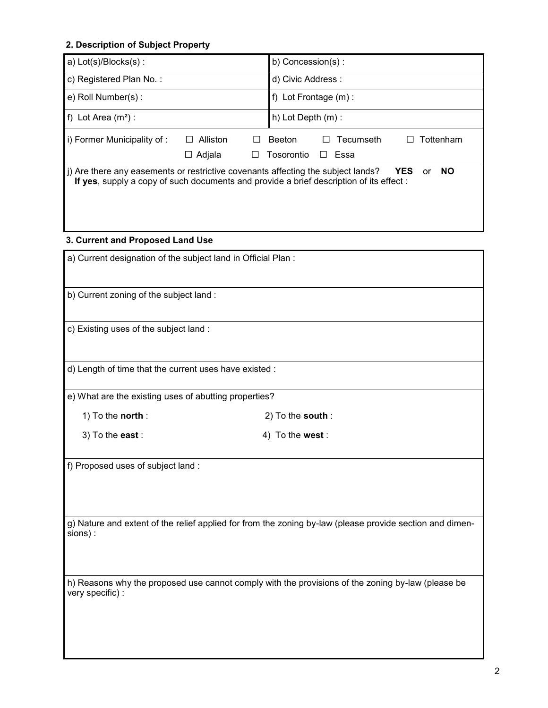| 2. Description of Subject Property                           |                                                      |                                                                                                                                                                                                              |
|--------------------------------------------------------------|------------------------------------------------------|--------------------------------------------------------------------------------------------------------------------------------------------------------------------------------------------------------------|
| a) Lot(s)/Blocks(s):                                         |                                                      | b) Concession(s):                                                                                                                                                                                            |
| c) Registered Plan No.:                                      |                                                      | d) Civic Address:                                                                                                                                                                                            |
| e) Roll Number(s):                                           |                                                      | f) Lot Frontage $(m)$ :                                                                                                                                                                                      |
| f) Lot Area $(m^2)$ :                                        |                                                      | h) Lot Depth (m) :                                                                                                                                                                                           |
| i) Former Municipality of:                                   | $\Box$ Alliston<br>$\Box$<br>$\Box$ Adjala<br>$\Box$ | <b>Beeton</b><br>Tecumseth<br>Tottenham<br>Tosorontio<br>$\Box$<br>Essa                                                                                                                                      |
|                                                              |                                                      | j) Are there any easements or restrictive covenants affecting the subject lands?<br><b>YES</b><br><b>NO</b><br>or<br>If yes, supply a copy of such documents and provide a brief description of its effect : |
| 3. Current and Proposed Land Use                             |                                                      |                                                                                                                                                                                                              |
| a) Current designation of the subject land in Official Plan: |                                                      |                                                                                                                                                                                                              |
| b) Current zoning of the subject land:                       |                                                      |                                                                                                                                                                                                              |
| c) Existing uses of the subject land:                        |                                                      |                                                                                                                                                                                                              |
| d) Length of time that the current uses have existed :       |                                                      |                                                                                                                                                                                                              |
| e) What are the existing uses of abutting properties?        |                                                      |                                                                                                                                                                                                              |
| 1) To the north:                                             |                                                      | $2)$ To the south:                                                                                                                                                                                           |
| 3) To the east :                                             |                                                      | 4) To the west:                                                                                                                                                                                              |
| f) Proposed uses of subject land :                           |                                                      |                                                                                                                                                                                                              |
| sions) :                                                     |                                                      | g) Nature and extent of the relief applied for from the zoning by-law (please provide section and dimen-                                                                                                     |
|                                                              |                                                      | h) Reasons why the proposed use cannot comply with the provisions of the zoning by-law (please be                                                                                                            |

very specific) :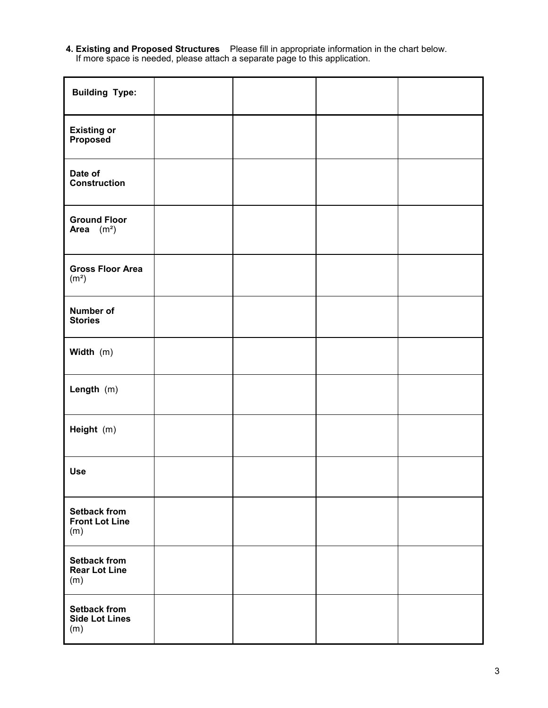#### **4. Existing and Proposed Structures** Please fill in appropriate information in the chart below. If more space is needed, please attach a separate page to this application.

| <b>Building Type:</b>                               |  |  |
|-----------------------------------------------------|--|--|
| <b>Existing or<br/>Proposed</b>                     |  |  |
| Date of<br><b>Construction</b>                      |  |  |
| <b>Ground Floor</b><br>Area $(m^2)$                 |  |  |
| <b>Gross Floor Area</b><br>(m <sup>2</sup> )        |  |  |
| Number of<br><b>Stories</b>                         |  |  |
| Width (m)                                           |  |  |
| Length (m)                                          |  |  |
| Height (m)                                          |  |  |
| <b>Use</b>                                          |  |  |
| <b>Setback from</b><br><b>Front Lot Line</b><br>(m) |  |  |
| <b>Setback from</b><br><b>Rear Lot Line</b><br>(m)  |  |  |
| <b>Setback from</b><br><b>Side Lot Lines</b><br>(m) |  |  |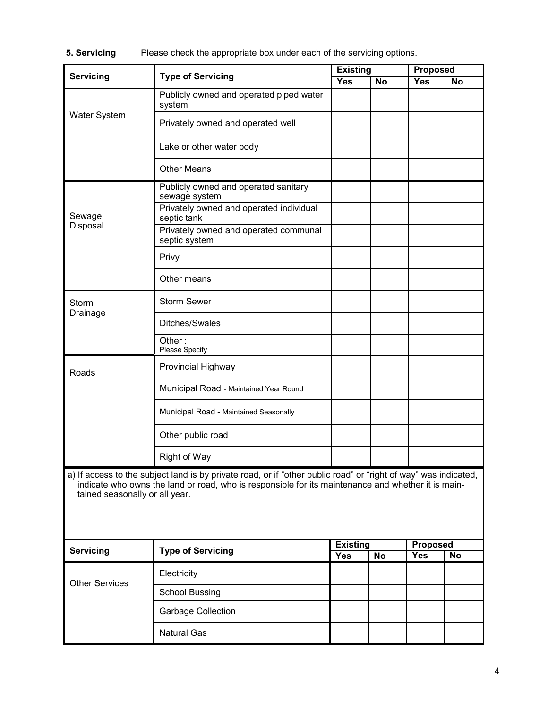**5. Servicing** Please check the appropriate box under each of the servicing options.

| Servicing                                                                                                                                                                                                                                               | <b>Type of Servicing</b>                               | <b>Existing</b> |                | <b>Proposed</b> |    |
|---------------------------------------------------------------------------------------------------------------------------------------------------------------------------------------------------------------------------------------------------------|--------------------------------------------------------|-----------------|----------------|-----------------|----|
|                                                                                                                                                                                                                                                         |                                                        | <b>Yes</b>      | $\overline{N}$ | Yes             | No |
|                                                                                                                                                                                                                                                         | Publicly owned and operated piped water<br>system      |                 |                |                 |    |
| <b>Water System</b>                                                                                                                                                                                                                                     | Privately owned and operated well                      |                 |                |                 |    |
|                                                                                                                                                                                                                                                         | Lake or other water body                               |                 |                |                 |    |
|                                                                                                                                                                                                                                                         | <b>Other Means</b>                                     |                 |                |                 |    |
|                                                                                                                                                                                                                                                         | Publicly owned and operated sanitary<br>sewage system  |                 |                |                 |    |
| Sewage                                                                                                                                                                                                                                                  | Privately owned and operated individual<br>septic tank |                 |                |                 |    |
| Disposal                                                                                                                                                                                                                                                | Privately owned and operated communal<br>septic system |                 |                |                 |    |
|                                                                                                                                                                                                                                                         | Privy                                                  |                 |                |                 |    |
|                                                                                                                                                                                                                                                         | Other means                                            |                 |                |                 |    |
| <b>Storm</b>                                                                                                                                                                                                                                            | <b>Storm Sewer</b>                                     |                 |                |                 |    |
| Drainage                                                                                                                                                                                                                                                | Ditches/Swales                                         |                 |                |                 |    |
|                                                                                                                                                                                                                                                         | Other:<br>Please Specify                               |                 |                |                 |    |
| Roads                                                                                                                                                                                                                                                   | Provincial Highway                                     |                 |                |                 |    |
|                                                                                                                                                                                                                                                         | Municipal Road - Maintained Year Round                 |                 |                |                 |    |
|                                                                                                                                                                                                                                                         | Municipal Road - Maintained Seasonally                 |                 |                |                 |    |
|                                                                                                                                                                                                                                                         | Other public road                                      |                 |                |                 |    |
|                                                                                                                                                                                                                                                         | Right of Way                                           |                 |                |                 |    |
| a) If access to the subject land is by private road, or if "other public road" or "right of way" was indicated,<br>indicate who owns the land or road, who is responsible for its maintenance and whether it is main-<br>tained seasonally or all year. |                                                        |                 |                |                 |    |
| <b>Servicing</b>                                                                                                                                                                                                                                        | <b>Type of Servicing</b>                               | <b>Existing</b> |                | <b>Proposed</b> |    |
|                                                                                                                                                                                                                                                         | Electricity                                            | <b>Yes</b>      | <b>No</b>      | <b>Yes</b>      | No |
| <b>Other Services</b>                                                                                                                                                                                                                                   | <b>School Bussing</b>                                  |                 |                |                 |    |
|                                                                                                                                                                                                                                                         | <b>Garbage Collection</b>                              |                 |                |                 |    |
|                                                                                                                                                                                                                                                         | <b>Natural Gas</b>                                     |                 |                |                 |    |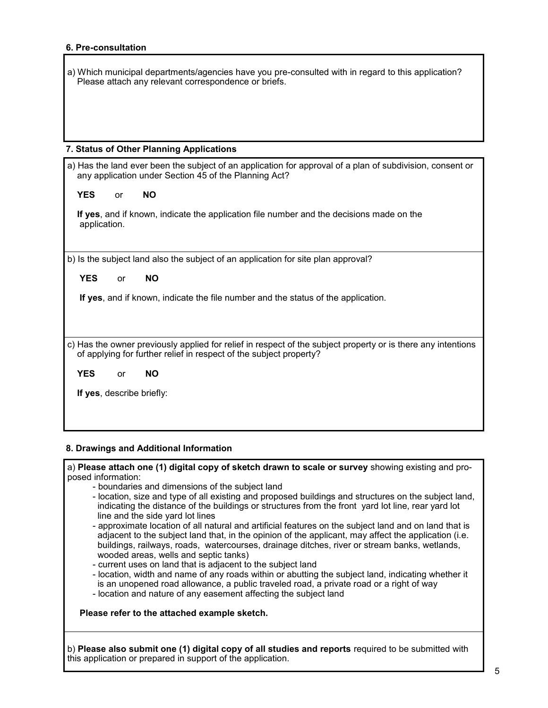#### **6. Pre-consultation**

| a) Which municipal departments/agencies have you pre-consulted with in regard to this application? |  |
|----------------------------------------------------------------------------------------------------|--|
| Please attach any relevant correspondence or briefs.                                               |  |

#### **7. Status of Other Planning Applications**

| a) Has the land ever been the subject of an application for approval of a plan of subdivision, consent or<br>any application under Section 45 of the Planning Act? |           |                                                                                                                                                                                    |  |
|--------------------------------------------------------------------------------------------------------------------------------------------------------------------|-----------|------------------------------------------------------------------------------------------------------------------------------------------------------------------------------------|--|
| <b>YES</b>                                                                                                                                                         | or        | <b>NO</b>                                                                                                                                                                          |  |
| application.                                                                                                                                                       |           | If yes, and if known, indicate the application file number and the decisions made on the                                                                                           |  |
|                                                                                                                                                                    |           |                                                                                                                                                                                    |  |
|                                                                                                                                                                    |           | b) Is the subject land also the subject of an application for site plan approval?                                                                                                  |  |
| <b>YES</b>                                                                                                                                                         | or        | <b>NO</b>                                                                                                                                                                          |  |
|                                                                                                                                                                    |           | If yes, and if known, indicate the file number and the status of the application.                                                                                                  |  |
|                                                                                                                                                                    |           | c) Has the owner previously applied for relief in respect of the subject property or is there any intentions<br>of applying for further relief in respect of the subject property? |  |
| <b>YES</b>                                                                                                                                                         | <b>or</b> | <b>NO</b>                                                                                                                                                                          |  |
| If yes, describe briefly:                                                                                                                                          |           |                                                                                                                                                                                    |  |

#### **8. Drawings and Additional Information**

a) **Please attach one (1) digital copy of sketch drawn to scale or survey** showing existing and proposed information:

- boundaries and dimensions of the subject land
- location, size and type of all existing and proposed buildings and structures on the subject land, indicating the distance of the buildings or structures from the front yard lot line, rear yard lot line and the side yard lot lines
- approximate location of all natural and artificial features on the subject land and on land that is adjacent to the subject land that, in the opinion of the applicant, may affect the application (i.e. buildings, railways, roads, watercourses, drainage ditches, river or stream banks, wetlands, wooded areas, wells and septic tanks)
- current uses on land that is adjacent to the subject land
- location, width and name of any roads within or abutting the subject land, indicating whether it is an unopened road allowance, a public traveled road, a private road or a right of way
- location and nature of any easement affecting the subject land

**Please refer to the attached example sketch.**

b) **Please also submit one (1) digital copy of all studies and reports** required to be submitted with this application or prepared in support of the application.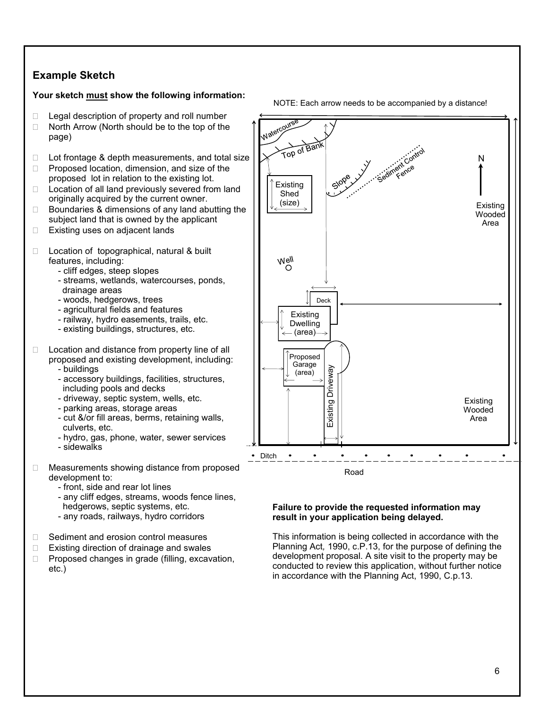## **Example Sketch**

#### **Your sketch must show the following information:**

- $\Box$  Legal description of property and roll number
- $\Box$  North Arrow (North should be to the top of the page)
- $\Box$  Lot frontage & depth measurements, and total size
- $\Box$  Proposed location, dimension, and size of the proposed lot in relation to the existing lot.
- $\Box$  Location of all land previously severed from land originally acquired by the current owner.
- $\Box$  Boundaries & dimensions of any land abutting the subject land that is owned by the applicant
- □ Existing uses on adjacent lands
- $\Box$  Location of topographical, natural & built features, including:
	- cliff edges, steep slopes
	- streams, wetlands, watercourses, ponds, drainage areas
	- woods, hedgerows, trees
	- agricultural fields and features
	- railway, hydro easements, trails, etc.
	- existing buildings, structures, etc.
- $\Box$  Location and distance from property line of all proposed and existing development, including:
	- buildings
	- accessory buildings, facilities, structures, including pools and decks
	- driveway, septic system, wells, etc.
	- parking areas, storage areas
	- cut &/or fill areas, berms, retaining walls, culverts, etc.
	- hydro, gas, phone, water, sewer services
	- sidewalks
- □ Measurements showing distance from proposed development to:
	- front, side and rear lot lines
	- any cliff edges, streams, woods fence lines, hedgerows, septic systems, etc.
	- any roads, railways, hydro corridors
- □ Sediment and erosion control measures
- $\Box$  Existing direction of drainage and swales
- $\Box$  Proposed changes in grade (filling, excavation, etc.)





#### **Failure to provide the requested information may result in your application being delayed.**

This information is being collected in accordance with the Planning Act*,* 1990, c.P.13, for the purpose of defining the development proposal. A site visit to the property may be conducted to review this application, without further notice in accordance with the Planning Act, 1990, C.p.13.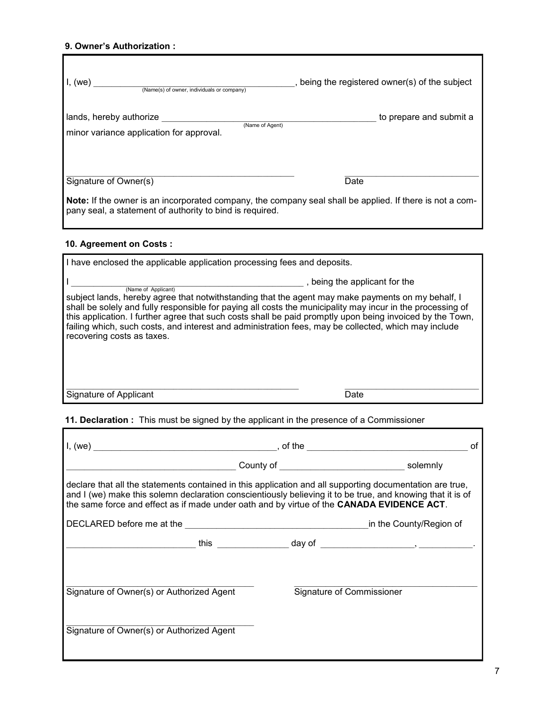#### **9. Owner's Authorization :**

Г

| I, (we)<br>(Name(s) of owner, individuals or company)                                                                             | being the registered owner(s) of the subject |
|-----------------------------------------------------------------------------------------------------------------------------------|----------------------------------------------|
| lands, hereby authorize<br>(Name of Agent)<br>minor variance application for approval.                                            | to prepare and submit a                      |
| Signature of Owner(s)<br>Note: If the owner is an incorporated company, the company seal shall be applied. If there is not a com- | Date                                         |
| pany seal, a statement of authority to bind is required.                                                                          |                                              |

### **10. Agreement on Costs :**

| I have enclosed the applicable application processing fees and deposits.                                                                                                                                                                                                                                                                                                                                                                                                                                                 |  |  |  |
|--------------------------------------------------------------------------------------------------------------------------------------------------------------------------------------------------------------------------------------------------------------------------------------------------------------------------------------------------------------------------------------------------------------------------------------------------------------------------------------------------------------------------|--|--|--|
| being the applicant for the<br>(Name of Applicant)<br>subject lands, hereby agree that notwithstanding that the agent may make payments on my behalf, I<br>shall be solely and fully responsible for paying all costs the municipality may incur in the processing of<br>this application. I further agree that such costs shall be paid promptly upon being invoiced by the Town,<br>failing which, such costs, and interest and administration fees, may be collected, which may include<br>recovering costs as taxes. |  |  |  |
| Signature of Applicant<br>Date                                                                                                                                                                                                                                                                                                                                                                                                                                                                                           |  |  |  |
|                                                                                                                                                                                                                                                                                                                                                                                                                                                                                                                          |  |  |  |

## **11. Declaration :** This must be signed by the applicant in the presence of a Commissioner

|                                                                                           |  | οf                                                                                                                                                                                                                     |
|-------------------------------------------------------------------------------------------|--|------------------------------------------------------------------------------------------------------------------------------------------------------------------------------------------------------------------------|
|                                                                                           |  | County of solemnly                                                                                                                                                                                                     |
| the same force and effect as if made under oath and by virtue of the CANADA EVIDENCE ACT. |  | declare that all the statements contained in this application and all supporting documentation are true,<br>and I (we) make this solemn declaration conscientiously believing it to be true, and knowing that it is of |
|                                                                                           |  |                                                                                                                                                                                                                        |
|                                                                                           |  |                                                                                                                                                                                                                        |
| Signature of Owner(s) or Authorized Agent                                                 |  | Signature of Commissioner                                                                                                                                                                                              |
| Signature of Owner(s) or Authorized Agent                                                 |  |                                                                                                                                                                                                                        |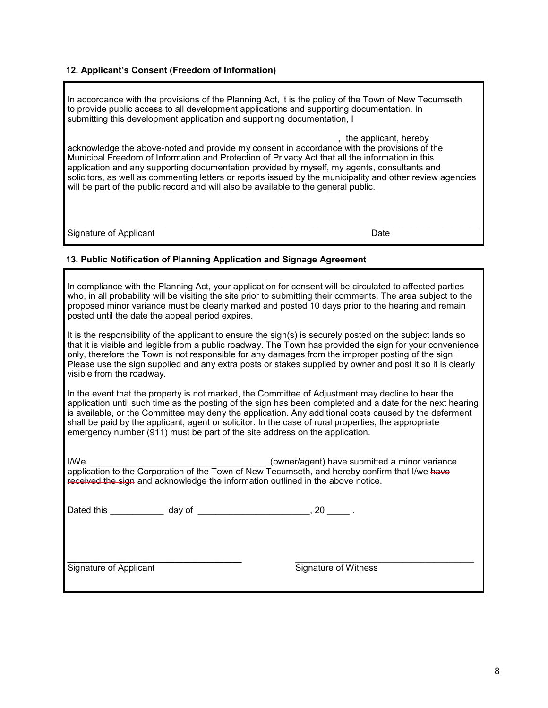#### **12. Applicant's Consent (Freedom of Information)**

In accordance with the provisions of the Planning Act, it is the policy of the Town of New Tecumseth to provide public access to all development applications and supporting documentation. In submitting this development application and supporting documentation, I

 $\Box$ , the applicant, hereby acknowledge the above-noted and provide my consent in accordance with the provisions of the Municipal Freedom of Information and Protection of Privacy Act that all the information in this application and any supporting documentation provided by myself, my agents, consultants and solicitors, as well as commenting letters or reports issued by the municipality and other review agencies will be part of the public record and will also be available to the general public.

Signature of Applicant Date Date Date

#### **13. Public Notification of Planning Application and Signage Agreement**

In compliance with the Planning Act, your application for consent will be circulated to affected parties who, in all probability will be visiting the site prior to submitting their comments. The area subject to the proposed minor variance must be clearly marked and posted 10 days prior to the hearing and remain posted until the date the appeal period expires.

It is the responsibility of the applicant to ensure the sign(s) is securely posted on the subject lands so that it is visible and legible from a public roadway. The Town has provided the sign for your convenience only, therefore the Town is not responsible for any damages from the improper posting of the sign. Please use the sign supplied and any extra posts or stakes supplied by owner and post it so it is clearly visible from the roadway.

In the event that the property is not marked, the Committee of Adjustment may decline to hear the application until such time as the posting of the sign has been completed and a date for the next hearing is available, or the Committee may deny the application. Any additional costs caused by the deferment shall be paid by the applicant, agent or solicitor. In the case of rural properties, the appropriate emergency number (911) must be part of the site address on the application.

I/We last the submitted a minor variance in the submitted a minor variance application to the Corporation of the Town of New Tecumseth, and hereby confirm that I/we have received the sign and acknowledge the information outlined in the above notice.

Dated this \_\_\_\_\_\_\_\_\_\_\_\_\_ day of \_\_\_\_\_\_\_\_\_\_\_\_\_\_\_\_\_\_\_\_\_\_\_\_\_, 20 \_\_\_\_\_\_.

Signature of Applicant The Signature of Witness

**\_\_\_\_\_\_\_\_\_\_\_\_\_\_\_\_\_\_\_\_\_\_\_\_\_\_\_\_\_\_\_\_\_\_\_\_\_\_\_** \_\_\_\_\_\_\_\_\_\_\_\_\_\_\_\_\_\_\_\_\_\_\_\_\_\_\_\_\_\_\_\_\_\_\_\_\_\_\_\_